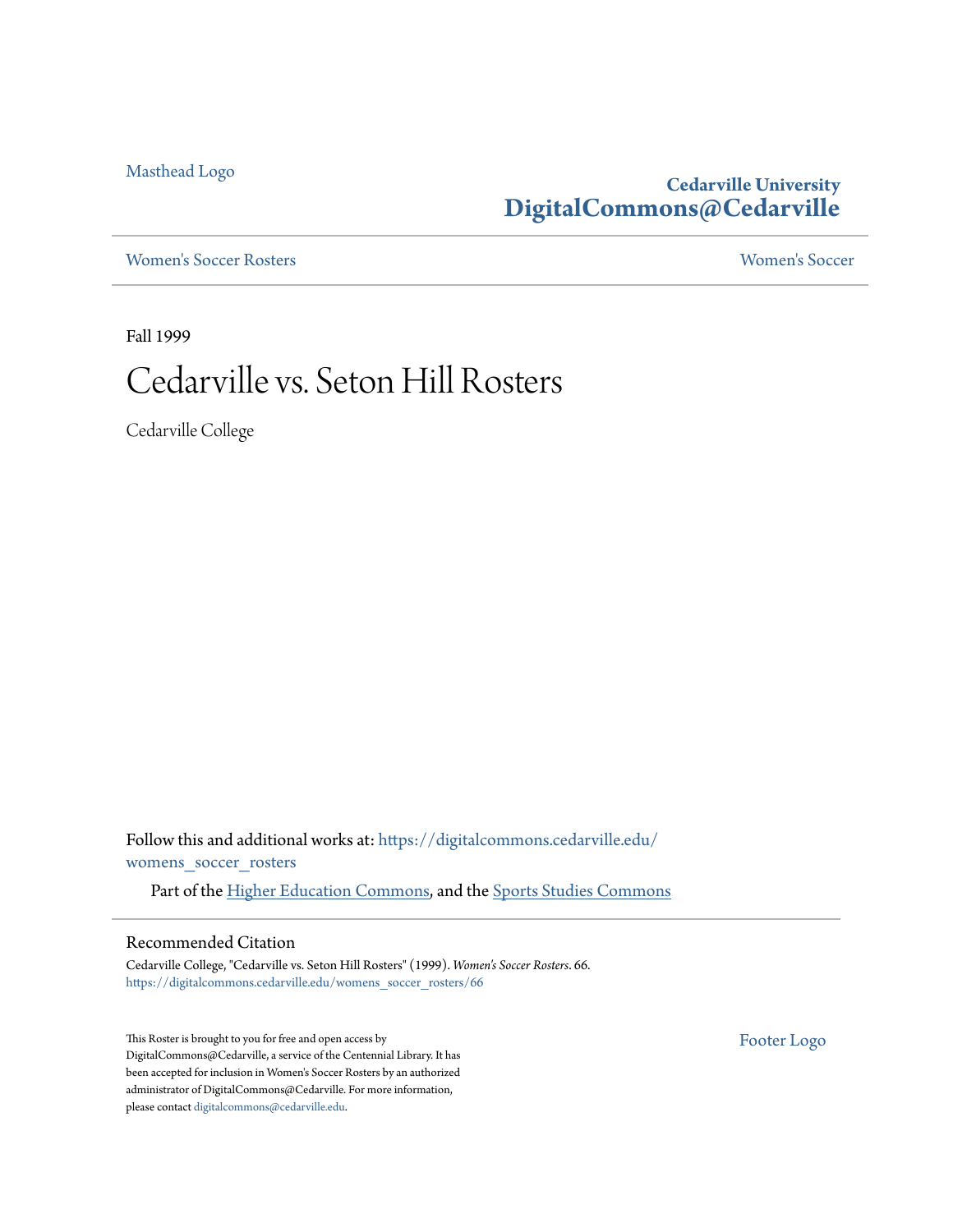[Masthead Logo](http://www.cedarville.edu/?utm_source=digitalcommons.cedarville.edu%2Fwomens_soccer_rosters%2F66&utm_medium=PDF&utm_campaign=PDFCoverPages)

## **Cedarville University [DigitalCommons@Cedarville](https://digitalcommons.cedarville.edu?utm_source=digitalcommons.cedarville.edu%2Fwomens_soccer_rosters%2F66&utm_medium=PDF&utm_campaign=PDFCoverPages)**

[Women's Soccer Rosters](https://digitalcommons.cedarville.edu/womens_soccer_rosters?utm_source=digitalcommons.cedarville.edu%2Fwomens_soccer_rosters%2F66&utm_medium=PDF&utm_campaign=PDFCoverPages) [Women's Soccer](https://digitalcommons.cedarville.edu/womens_soccer?utm_source=digitalcommons.cedarville.edu%2Fwomens_soccer_rosters%2F66&utm_medium=PDF&utm_campaign=PDFCoverPages)

Fall 1999

# Cedarville vs. Seton Hill Rosters

Cedarville College

Follow this and additional works at: [https://digitalcommons.cedarville.edu/](https://digitalcommons.cedarville.edu/womens_soccer_rosters?utm_source=digitalcommons.cedarville.edu%2Fwomens_soccer_rosters%2F66&utm_medium=PDF&utm_campaign=PDFCoverPages) [womens\\_soccer\\_rosters](https://digitalcommons.cedarville.edu/womens_soccer_rosters?utm_source=digitalcommons.cedarville.edu%2Fwomens_soccer_rosters%2F66&utm_medium=PDF&utm_campaign=PDFCoverPages)

Part of the [Higher Education Commons](http://network.bepress.com/hgg/discipline/1245?utm_source=digitalcommons.cedarville.edu%2Fwomens_soccer_rosters%2F66&utm_medium=PDF&utm_campaign=PDFCoverPages), and the [Sports Studies Commons](http://network.bepress.com/hgg/discipline/1198?utm_source=digitalcommons.cedarville.edu%2Fwomens_soccer_rosters%2F66&utm_medium=PDF&utm_campaign=PDFCoverPages)

#### Recommended Citation

Cedarville College, "Cedarville vs. Seton Hill Rosters" (1999). *Women's Soccer Rosters*. 66. [https://digitalcommons.cedarville.edu/womens\\_soccer\\_rosters/66](https://digitalcommons.cedarville.edu/womens_soccer_rosters/66?utm_source=digitalcommons.cedarville.edu%2Fwomens_soccer_rosters%2F66&utm_medium=PDF&utm_campaign=PDFCoverPages)

This Roster is brought to you for free and open access by DigitalCommons@Cedarville, a service of the Centennial Library. It has been accepted for inclusion in Women's Soccer Rosters by an authorized administrator of DigitalCommons@Cedarville. For more information, please contact [digitalcommons@cedarville.edu.](mailto:digitalcommons@cedarville.edu)

[Footer Logo](http://www.cedarville.edu/Academics/Library.aspx?utm_source=digitalcommons.cedarville.edu%2Fwomens_soccer_rosters%2F66&utm_medium=PDF&utm_campaign=PDFCoverPages)